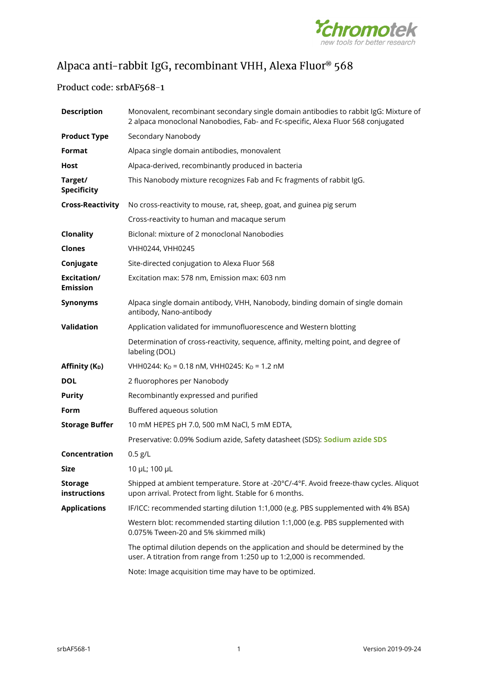

# Alpaca anti-rabbit IgG, recombinant VHH, Alexa Fluor<sup>®</sup> 568

## Product code: srbAF568-1

| <b>Description</b>             | Monovalent, recombinant secondary single domain antibodies to rabbit IgG: Mixture of<br>2 alpaca monoclonal Nanobodies, Fab- and Fc-specific, Alexa Fluor 568 conjugated |  |  |  |  |  |
|--------------------------------|--------------------------------------------------------------------------------------------------------------------------------------------------------------------------|--|--|--|--|--|
| <b>Product Type</b>            | Secondary Nanobody                                                                                                                                                       |  |  |  |  |  |
| Format                         | Alpaca single domain antibodies, monovalent                                                                                                                              |  |  |  |  |  |
| Host                           | Alpaca-derived, recombinantly produced in bacteria                                                                                                                       |  |  |  |  |  |
| Target/<br><b>Specificity</b>  | This Nanobody mixture recognizes Fab and Fc fragments of rabbit IgG.                                                                                                     |  |  |  |  |  |
| <b>Cross-Reactivity</b>        | No cross-reactivity to mouse, rat, sheep, goat, and guinea pig serum                                                                                                     |  |  |  |  |  |
|                                | Cross-reactivity to human and macaque serum                                                                                                                              |  |  |  |  |  |
| Clonality                      | Biclonal: mixture of 2 monoclonal Nanobodies                                                                                                                             |  |  |  |  |  |
| <b>Clones</b>                  | VHH0244, VHH0245                                                                                                                                                         |  |  |  |  |  |
| Conjugate                      | Site-directed conjugation to Alexa Fluor 568                                                                                                                             |  |  |  |  |  |
| Excitation/<br><b>Emission</b> | Excitation max: 578 nm, Emission max: 603 nm                                                                                                                             |  |  |  |  |  |
| <b>Synonyms</b>                | Alpaca single domain antibody, VHH, Nanobody, binding domain of single domain<br>antibody, Nano-antibody                                                                 |  |  |  |  |  |
| Validation                     | Application validated for immunofluorescence and Western blotting                                                                                                        |  |  |  |  |  |
|                                | Determination of cross-reactivity, sequence, affinity, melting point, and degree of<br>labeling (DOL)                                                                    |  |  |  |  |  |
| Affinity (K <sub>D</sub> )     | VHH0244: K <sub>D</sub> = 0.18 nM, VHH0245: K <sub>D</sub> = 1.2 nM                                                                                                      |  |  |  |  |  |
| <b>DOL</b>                     | 2 fluorophores per Nanobody                                                                                                                                              |  |  |  |  |  |
| <b>Purity</b>                  | Recombinantly expressed and purified                                                                                                                                     |  |  |  |  |  |
| Form                           | Buffered aqueous solution                                                                                                                                                |  |  |  |  |  |
| <b>Storage Buffer</b>          | 10 mM HEPES pH 7.0, 500 mM NaCl, 5 mM EDTA,                                                                                                                              |  |  |  |  |  |
|                                | Preservative: 0.09% Sodium azide, Safety datasheet (SDS): Sodium azide SDS                                                                                               |  |  |  |  |  |
| Concentration                  | $0.5$ g/L                                                                                                                                                                |  |  |  |  |  |
| Size                           | 10 µL; 100 µL                                                                                                                                                            |  |  |  |  |  |
| <b>Storage</b><br>instructions | Shipped at ambient temperature. Store at -20°C/-4°F. Avoid freeze-thaw cycles. Aliquot<br>upon arrival. Protect from light. Stable for 6 months.                         |  |  |  |  |  |
| <b>Applications</b>            | IF/ICC: recommended starting dilution 1:1,000 (e.g. PBS supplemented with 4% BSA)                                                                                        |  |  |  |  |  |
|                                | Western blot: recommended starting dilution 1:1,000 (e.g. PBS supplemented with<br>0.075% Tween-20 and 5% skimmed milk)                                                  |  |  |  |  |  |
|                                | The optimal dilution depends on the application and should be determined by the<br>user. A titration from range from 1:250 up to 1:2,000 is recommended.                 |  |  |  |  |  |
|                                | Note: Image acquisition time may have to be optimized.                                                                                                                   |  |  |  |  |  |